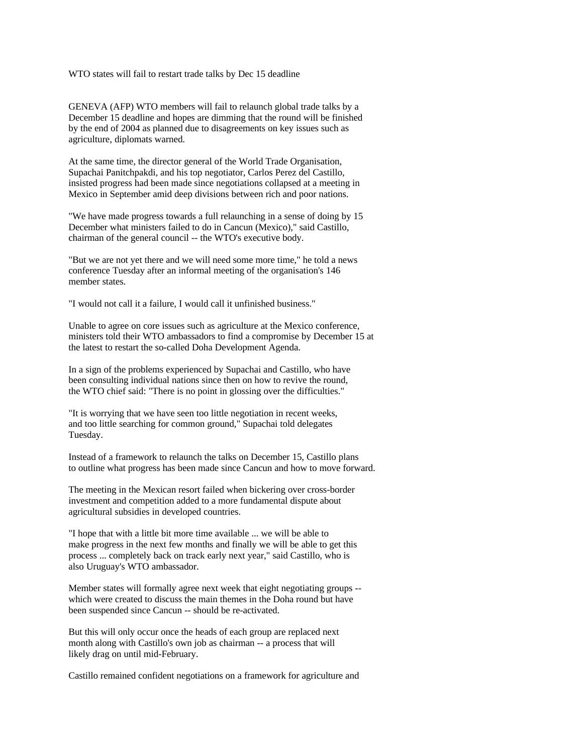WTO states will fail to restart trade talks by Dec 15 deadline

GENEVA (AFP) WTO members will fail to relaunch global trade talks by a December 15 deadline and hopes are dimming that the round will be finished by the end of 2004 as planned due to disagreements on key issues such as agriculture, diplomats warned.

At the same time, the director general of the World Trade Organisation, Supachai Panitchpakdi, and his top negotiator, Carlos Perez del Castillo, insisted progress had been made since negotiations collapsed at a meeting in Mexico in September amid deep divisions between rich and poor nations.

"We have made progress towards a full relaunching in a sense of doing by 15 December what ministers failed to do in Cancun (Mexico)," said Castillo, chairman of the general council -- the WTO's executive body.

"But we are not yet there and we will need some more time," he told a news conference Tuesday after an informal meeting of the organisation's 146 member states.

"I would not call it a failure, I would call it unfinished business."

Unable to agree on core issues such as agriculture at the Mexico conference, ministers told their WTO ambassadors to find a compromise by December 15 at the latest to restart the so-called Doha Development Agenda.

In a sign of the problems experienced by Supachai and Castillo, who have been consulting individual nations since then on how to revive the round, the WTO chief said: "There is no point in glossing over the difficulties."

"It is worrying that we have seen too little negotiation in recent weeks, and too little searching for common ground," Supachai told delegates Tuesday.

Instead of a framework to relaunch the talks on December 15, Castillo plans to outline what progress has been made since Cancun and how to move forward.

The meeting in the Mexican resort failed when bickering over cross-border investment and competition added to a more fundamental dispute about agricultural subsidies in developed countries.

"I hope that with a little bit more time available ... we will be able to make progress in the next few months and finally we will be able to get this process ... completely back on track early next year," said Castillo, who is also Uruguay's WTO ambassador.

Member states will formally agree next week that eight negotiating groups - which were created to discuss the main themes in the Doha round but have been suspended since Cancun -- should be re-activated.

But this will only occur once the heads of each group are replaced next month along with Castillo's own job as chairman -- a process that will likely drag on until mid-February.

Castillo remained confident negotiations on a framework for agriculture and